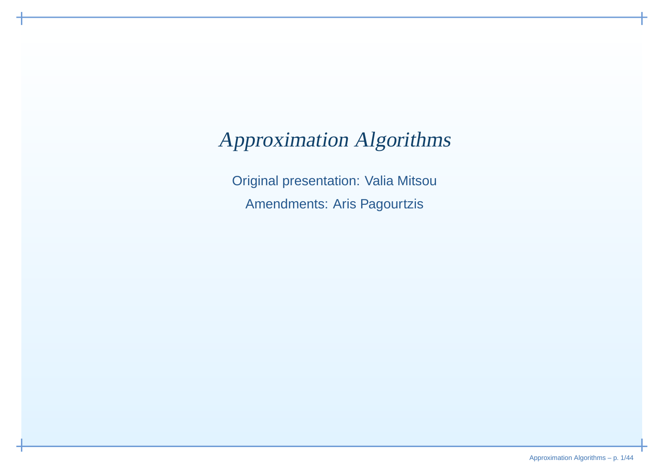# Approximation Algorithms

Original presentation: Valia MitsouAmendments: Aris Pagourtzis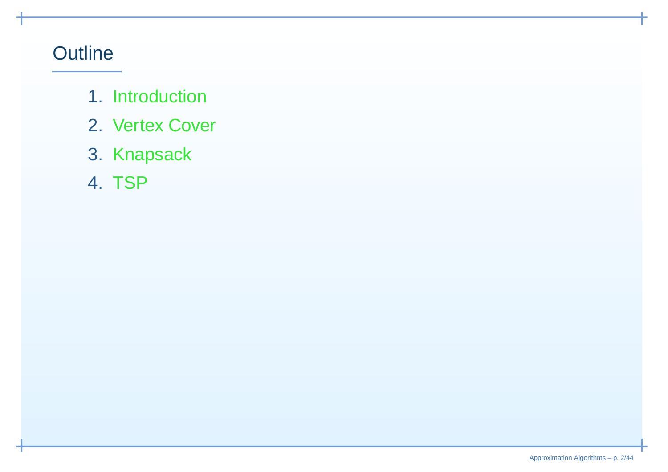# **Outline**

- 1. Introduction
- 2. Vertex Cover
- 3. Knapsack
- 4. TSP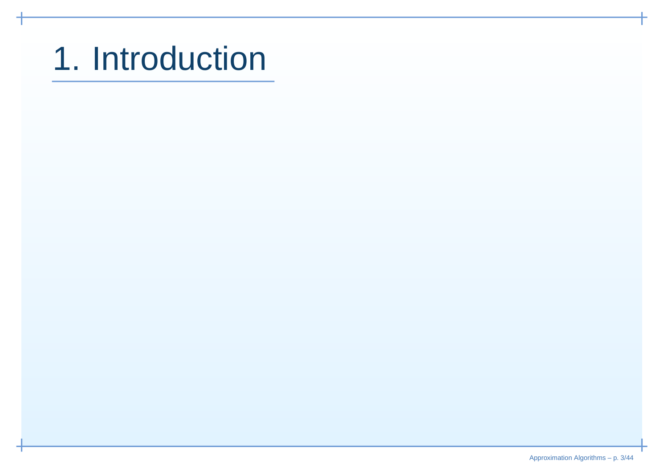# 1. Introduction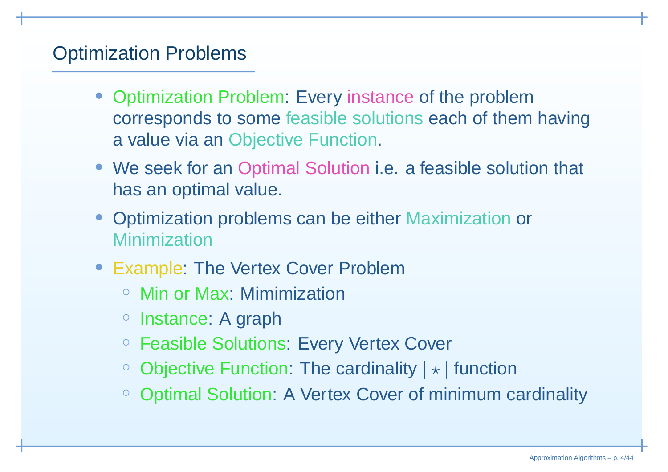# Optimization Problems

- Optimization Problem: Every instance of the problemcorresponds to some feasible solutions each of them having<sup>a</sup> value via an Objective Function.
- We seek for an Optimal Solution i.e. <sup>a</sup> feasible solution that has an optimal value.
- Optimization problems can be either Maximization or Minimization
- Example: The Vertex Cover Problem
	- Min or Max: Mimimization
	- Instance: A graph
	- Feasible Solutions: Every Vertex Cover
	- $\circ$  $\circ$  Objective Function: The cardinality  $|\star|$  function
	- $\circ$ Optimal Solution: A Vertex Cover of minimum cardinality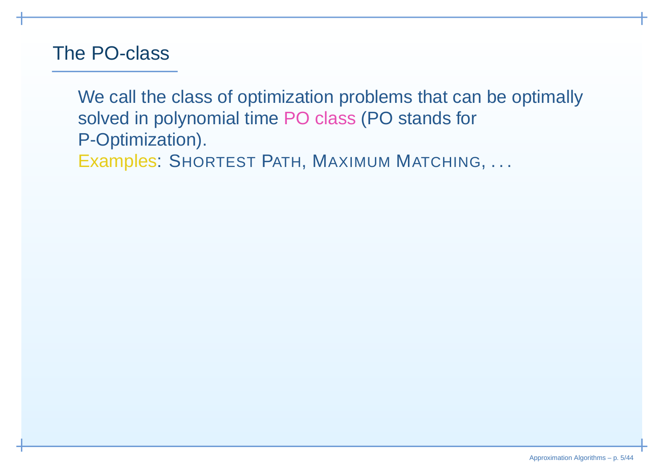#### The PO-class

We call the class of optimization problems that can be optimallysolved in polynomial time PO class (PO stands for P-Optimization).Examples: SHORTEST <sup>P</sup>ATH, <sup>M</sup>AXIMUM <sup>M</sup>ATCHING, . . .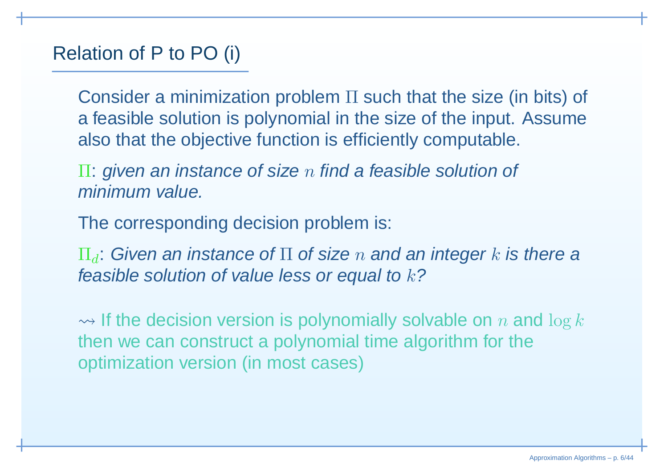# Relation of P to PO (i)

Consider <sup>a</sup> minimization problem <sup>Π</sup> such that the size (in bits) of <sup>a</sup> feasible solution is polynomial in the size of the input. Assumealso that the objective function is efficiently computable.

 $\Pi$ : given an instance of size  $n$  find a feasible solution of minimum value.

The corresponding decision problem is:

 $\Pi_d$ : Given an instance of  $\Pi$  of size  $n$  and an integer  $k$  is there a<br>faceible estution of value less ar aqual to 1.2 feasible solution of value less or equal to  $k$ ?

 $\rightsquigarrow$  If the decision version is polynomially solvable on  $n$  and  $\log k$ then we can construct <sup>a</sup> polynomial time algorithm for theoptimization version (in most cases)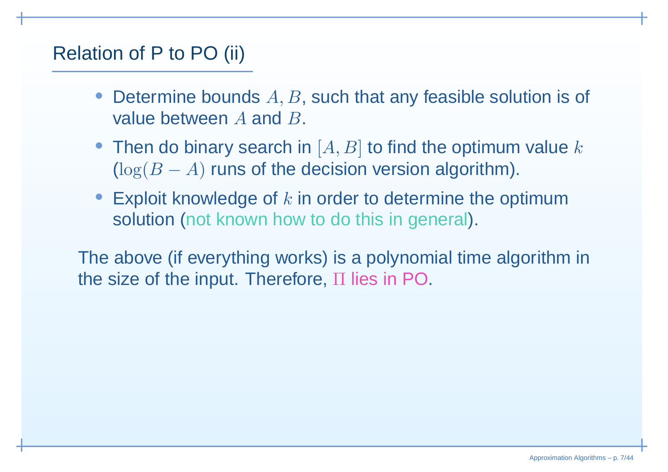# Relation of P to PO (ii)

- •• Determine bounds  $A, B$ , such that any feasible solution is of value between  $A$  and  $B$ .
- Then do binary search in  $[A, B]$  to find the optimum value  $k$  $(\log(B$  $B - A$ ) runs of the decision version algorithm).
- Exploit knowledge of  $k$  in order to determine the optimum solution (not known how to do this in general).

The above (if everything works) is a polynomial time algorithm in<br>the size of the input. Therefore, H lies in PO the size of the input. Therefore,  $\Pi$  lies in PO.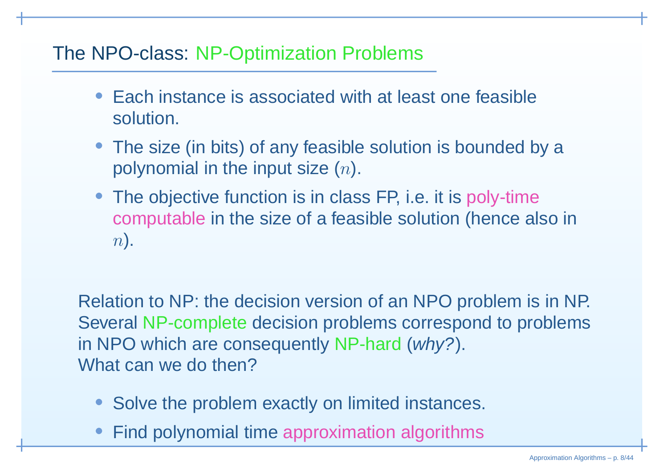#### The NPO-class: NP-Optimization Problems

- • Each instance is associated with at least one feasiblesolution.
- The size (in bits) of any feasible solution is bounded by <sup>a</sup>polynomial in the input size  $(n)$ .
- The objective function is in class FP, i.e. it is poly-time computable in the size of <sup>a</sup> feasible solution (hence also in  $n$ .

Relation to NP: the decision version of an NPO problem is in NP. Several NP-complete decision problems correspond to problems in NPO which are consequently NP-hard (why?). What can we do then?

- •Solve the problem exactly on limited instances.
- •Find polynomial time approximation algorithms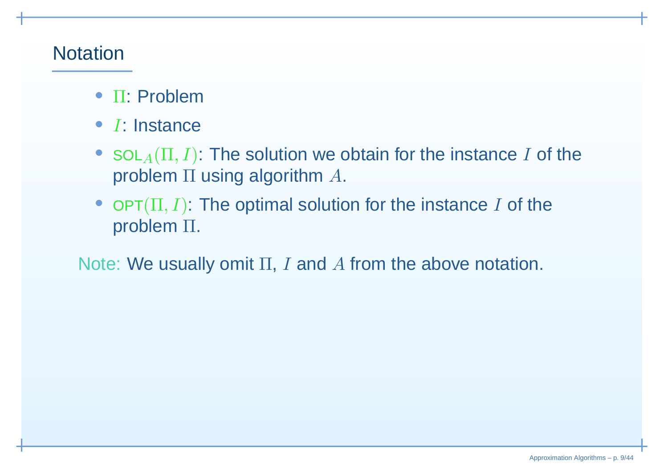## **Notation**

- <sup>Π</sup>: Problem
- <sup>I</sup>: Instance
- $SOL_{A}(\Pi, I)$ : The solution we obtain for the instance I of the problem  $\Pi$  using algorithm  $A.$
- OPT $(\Pi, I)$ : The optimal solution for the instance I of the problem <sup>Π</sup>.

Note: We usually omit  $\Pi, \, I$  and  $A$  from the above notation.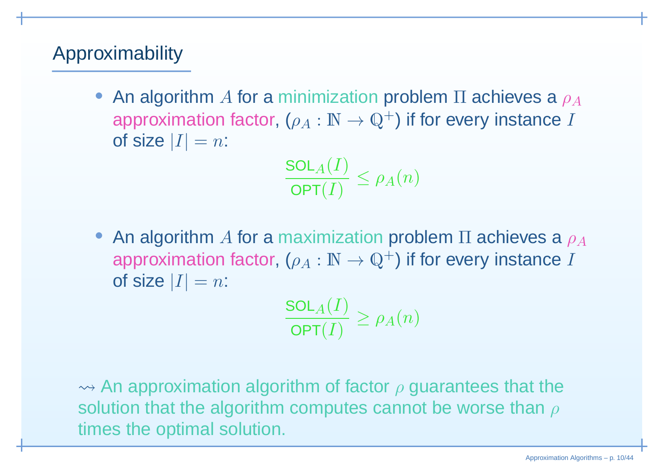# Approximability

• An algorithm A for a minimization problem  $\Pi$  achieves a  $\rho_A$ <br>conveximation foctor  $\Lambda$ approximation factor,  $(\rho_A : \mathbb{N} \to \mathbb{Q}^+)$  if for every instance  $I$ <br>of size  $|I| = n$ : of size  $|I|=n$ :

$$
\frac{\text{SOL}_A(I)}{\text{OPT}(I)} \leq \rho_A(n)
$$

• An algorithm A for a maximization problem  $\Pi$  achieves a  $\rho_A$ <br>conservimation factor  $($ approximation factor,  $(\rho_A : \mathbb{N} \to \mathbb{Q}^+)$  if for every instance  $I$ <br>of size  $|I| = n$ : of size  $|I|=n$ :

 $\frac{\mathsf{SOL}_A(I)}{\mathsf{OPT}(I)} \ge \rho_A(n)$ 

 $\rightsquigarrow$  An approximation algorithm of factor  $\rho$  guarantees that the solution that the algorithm computes cannot be worse than  $\rho$ times the optimal solution.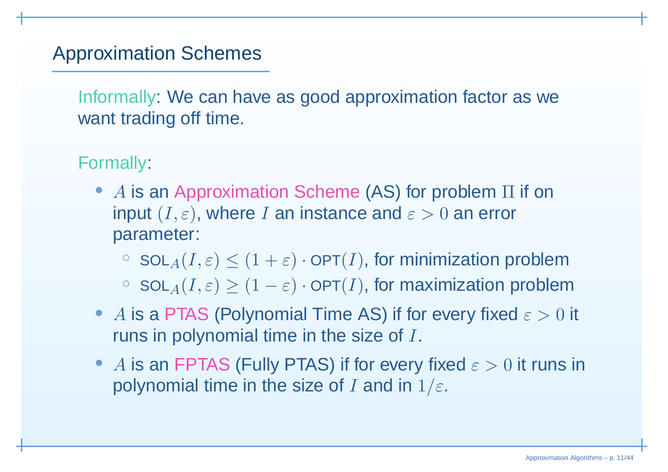# Approximation Schemes

Informally: We can have as good approximation factor as wewant trading off time.

#### Formally:

- A is an Approximation Scheme (AS) for problem  $\Pi$  if on<br>input  $(I \cap \Omega)$  where  $I \cap \Omega$  instance and  $\Omega \geq 0$  an error input  $(I,\varepsilon)$ , where  $I$  an instance and  $\varepsilon>0$  an error parameter:
	- $\texttt{col}_A(I,\varepsilon) \leq (1+\varepsilon) \cdot \texttt{OPT}(I),$  for minimization problem  $\texttt{col}_A(I,\varepsilon) \geq (1-\varepsilon) \cdot \texttt{OPT}(I)$ , for maximization problem
- A is a PTAS (Polynomial Time AS) if for every fixed  $\varepsilon > 0$  it<br>runs in polynomial time in the size of I runs in polynomial time in the size of <sup>I</sup>.
- A is an FPTAS (Fully PTAS) if for every fixed  $\varepsilon > 0$  it runs in not real time in the eigen of Land in 1/2 polynomial time in the size of  $I$  and in  $1/\varepsilon.$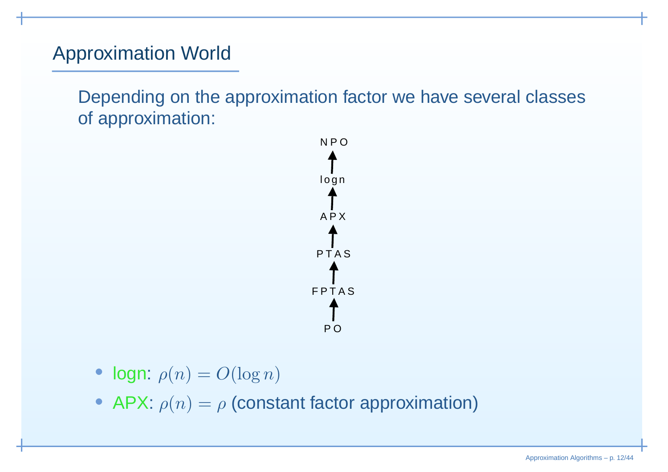# Approximation World

Depending on the approximation factor we have several classesof approximation:



- logn:  $\rho(n) = O(\log n)$
- APX:  $\rho(n) = \rho$  (constant factor approximation)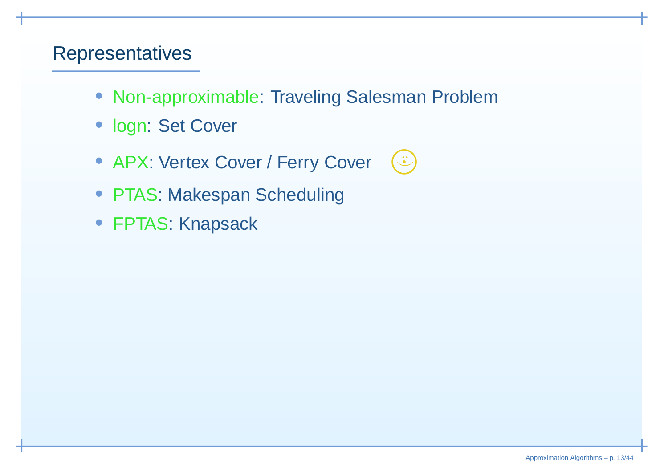#### **Representatives**

- Non-approximable: Traveling Salesman Problem
- logn: Set Cover
- APX: Vertex Cover / Ferry Cover
- PTAS: Makespan Scheduling
- FPTAS: Knapsack

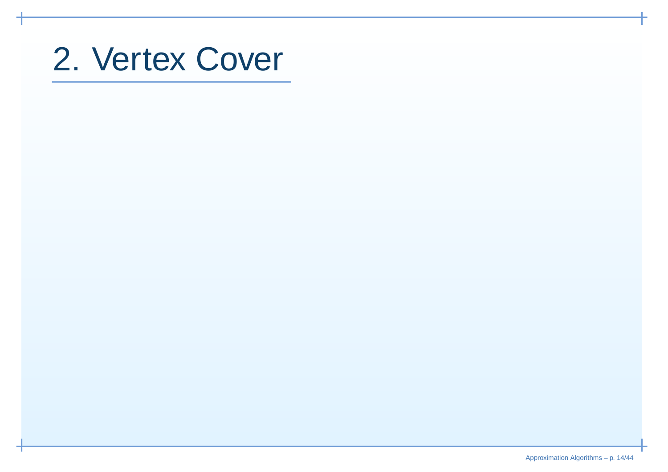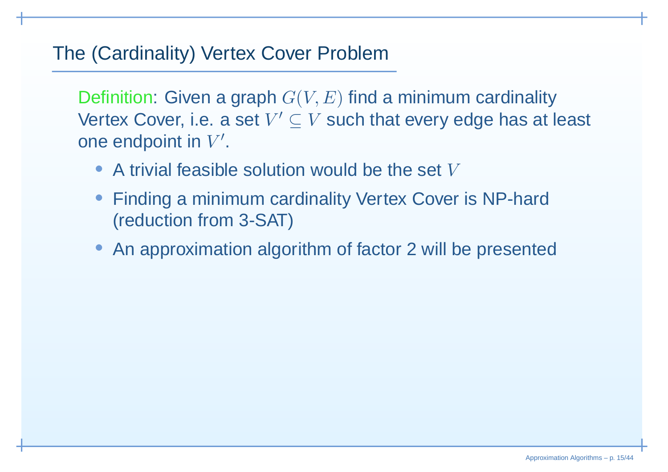#### The (Cardinality) Vertex Cover Problem

Definition: Given a graph  $G(V,E)$  find a minimum cardinality Vertex Cover, i.e. a set  $V' \subseteq V$  such that every edge has at least one endpoint in  $V^{\prime}.$ 

- A trivial feasible solution would be the set  $V$
- Finding <sup>a</sup> minimum cardinality Vertex Cover is NP-hard(reduction from 3-SAT)
- An approximation algorithm of factor <sup>2</sup> will be presented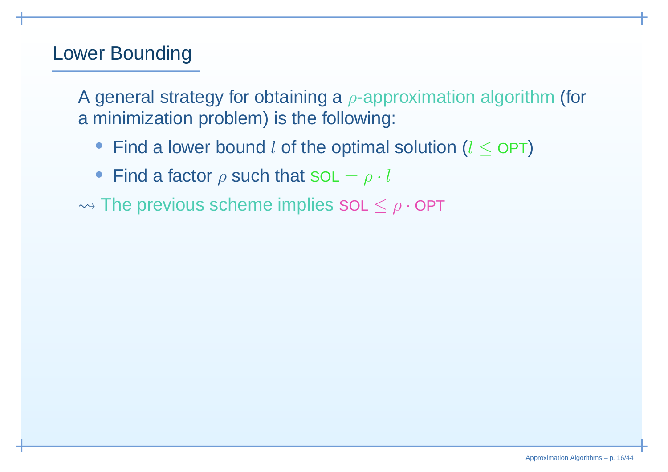# Lower Bounding

A general strategy for obtaining a  $\rho$ -approximation algorithm (for<br>a minimization problem) is the following: <sup>a</sup> minimization problem) is the following:

- Find a lower bound  $l$  of the optimal solution  $(l \leq \mathsf{OPT})$
- Find a factor  $\rho$  such that SOL  $=\rho\cdot l$

 $\rightsquigarrow$  The previous scheme implies SOL  $\le \rho \cdot \mathsf{OPT}$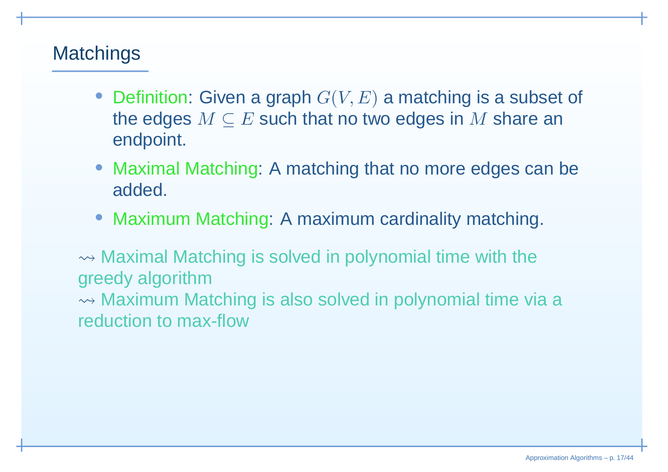# **Matchings**

- Definition: Given a graph  $G(V, E)$  a matching is a subset of the edges  $M\subseteq E$  such that no two edges in  $M$  share an<br>endpoint endpoint.
- Maximal Matching: A matching that no more edges can beadded.
- Maximum Matching: A maximum cardinality matching.

 $\rightsquigarrow$  Maximal Matching is solved in polynomial time with the greedy algorithm $\rightsquigarrow$  Maximum Matching is also solved in polynomial time via a reduction to max-flow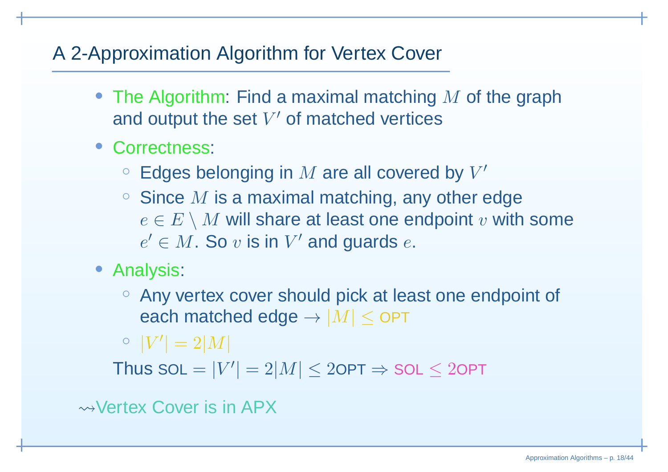# A 2-Approximation Algorithm for Vertex Cover

- The Algorithm: Find a maximal matching  $M$  of the graph and output the set  $V'$  of matched vertices and output the set  $V^\prime$  of matched vertices
- Correctness:
	- $\circ$  Edges belonging in  $M$  are all covered by  $V'$ <br> $\circ$  Since M is a maximal matching any other  $\epsilon$
	- Since  $M$  is a maximal matching, any other edge<br> *e* ∈  $E \setminus M$  will share at least one endpoint  $v$  with  $e\in E\setminus M$  will share at least one endpoint  $v$  with some  $e'\in M$  . So  $v$  is in  $V'$  and quards  $e$  $e'\in M.$  So  $v$  is in  $V'$  and guards  $e.$
- Analysis:
	- Any vertex cover should pick at least one endpoint of each matched edge  $\rightarrow |M| \leq$  OPT

 $\hspace{0.1 cm} \circ \hspace{0.1 cm} |V'$  $|= 2|M|$ 

Thus  $SOL =$  $= |V'$  $|= 2|M| \leq 2$ OPT  $\Rightarrow$  SOL  $\leq 2$ OPT

 $\rightsquigarrow$  Vertex Cover is in APX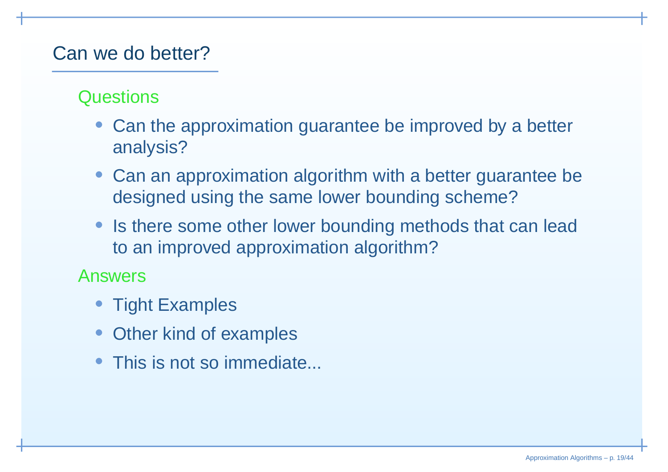## Can we do better?

#### **Questions**

- Can the approximation guarantee be improved by <sup>a</sup> betteranalysis?
- Can an approximation algorithm with <sup>a</sup> better guarantee bedesigned using the same lower bounding scheme?
- Is there some other lower bounding methods that can leadto an improved approximation algorithm?

#### Answers

- Tight Examples
- •Other kind of examples
- •This is not so immediate...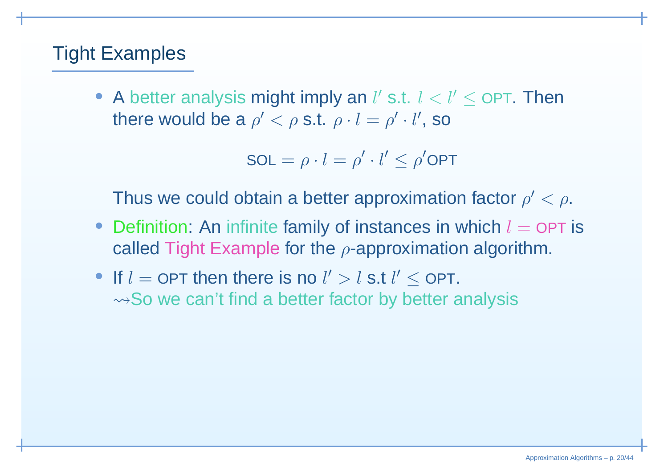# Tight Examples

• A better analysis might imply an  $l'$  s.t.  $l < l' \leq$  OPT. Then there would be a  $\rho' < \rho$  s.t.  $\rho \cdot l = \rho' \cdot l'$ , so

$$
SOL = \rho \cdot l = \rho' \cdot l' \leq \rho'OPT
$$

Thus we could obtain a better approximation factor  $\rho' < \rho.$ 

- Definition: An infinite family of instances in which  $l = \mathsf{OPT}$  is salled Tight Example for the connectionation elactive called Tight Example for the  $\rho$ -approximation algorithm.
- If  $l =$  $\lambda =$  OPT then there is no  $l' > l$  s.t  $l' \leq$  OPT.  $\rightsquigarrow$  So we can't find a better factor by better analysis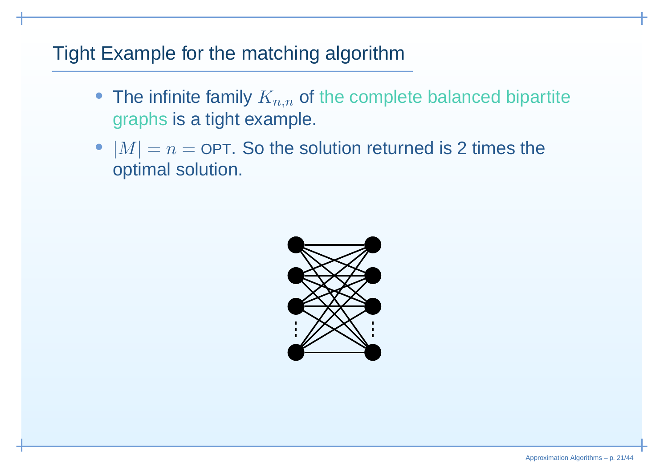# Tight Example for the matching algorithm

- The infinite family  $K_{n,n}$  of the complete balanced bipartite graphs is <sup>a</sup> tight example.
- $\bullet$   $|M|=n=$  optimal solution. = OPT. So the solution returned is 2 times the<br>relution

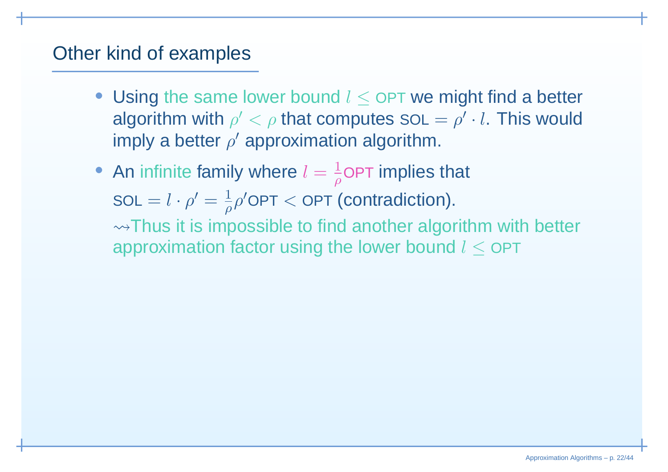#### Other kind of examples

- Using the same lower bound  $l \leq$  OPT we might find a better sleavithmenticle  $l \leq$  that semi-tries solution is that  $l$ algorithm with  $\rho' < \rho$  that computes SOL =  $\rho' \cdot l$ . This would imply a better  $\rho'$  approximation algorithm.
- An infinite family where  $l = \frac{1}{\rho}$ OPT implies that  $\mathsf{SOL} = l \cdot \rho' = \frac{1}{\rho} \rho' \mathsf{OPT} < \mathsf{OPT}$  (contradiction).  $\rightsquigarrow$ Thus it is impossible to find another algorithm with better approximation factor using the lower bound  $l\leq$  OPT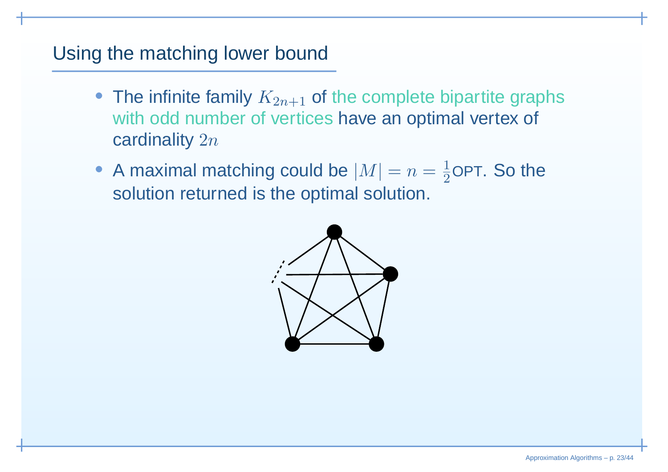## Using the matching lower bound

- The infinite family  $K_{2n+1}$  of the complete bipartite graphs with odd number of vertices have an optimal vertex of cardinality  $2n$
- A maximal matching could be  $|M|=n=\frac{1}{2}$  solution returned is the optimal solution.  $\frac{1}{2}$ OPT. So the

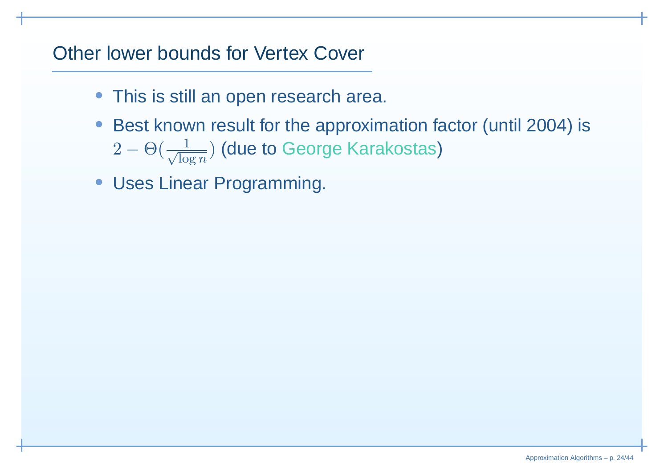#### Other lower bounds for Vertex Cover

- This is still an open research area.
- Best known result for the approximation factor (until 2004) is2− $-\Theta(\frac{1}{\sqrt{2}})$ 1 $\frac{1}{\log n})$  (due to George Karakostas)
- Uses Linear Programming.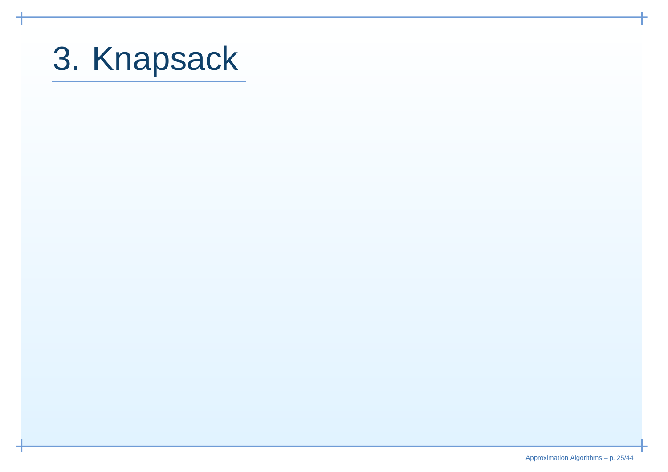# 3. Knapsack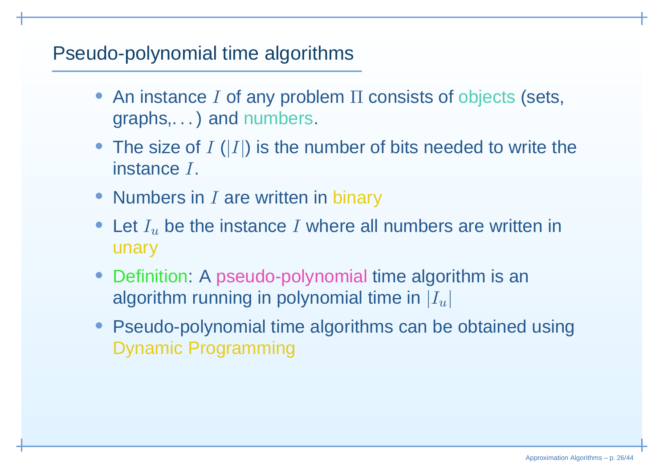## Pseudo-polynomial time algorithms

- An instance  $I$  of any problem  $\Pi$  consists of objects (sets, graphs,. . . ) and numbers.
- The size of  $I(|I|)$  is the number of bits needed to write the instance  $I.$
- Numbers in  $I$  are written in binary
- Let  $I_u$  be the instance  $I$  where all numbers are written in unary
- Definition: A pseudo-polynomial time algorithm is an algorithm running in polynomial time in  $\left|I_u\right|$
- Pseudo-polynomial time algorithms can be obtained usingDynamic Programming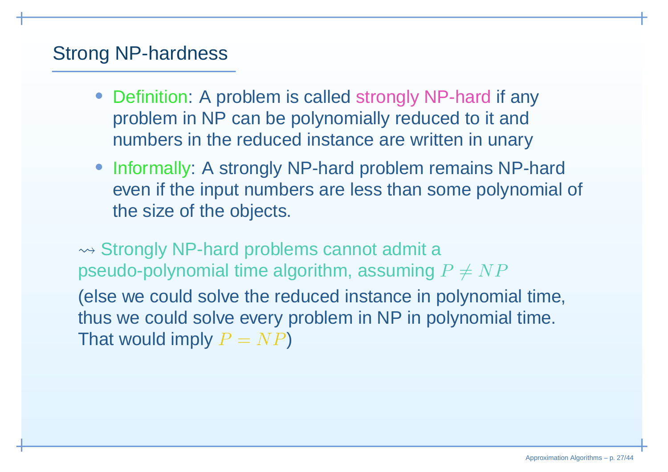#### Strong NP-hardness

- Definition: A problem is called strongly NP-hard if any problem in NP can be polynomially reduced to it andnumbers in the reduced instance are written in unary
- Informally: A strongly NP-hard problem remains NP-hard even if the input numbers are less than some polynomial of the size of the objects.

 $\rightsquigarrow$  Strongly NP-hard problems cannot admit a pseudo-polynomial time algorithm, assuming  $P \neq NP$ (else we could solve the reduced instance in polynomial time, thus we could solve every problem in NP in polynomial time. That would imply  $P=NP$ )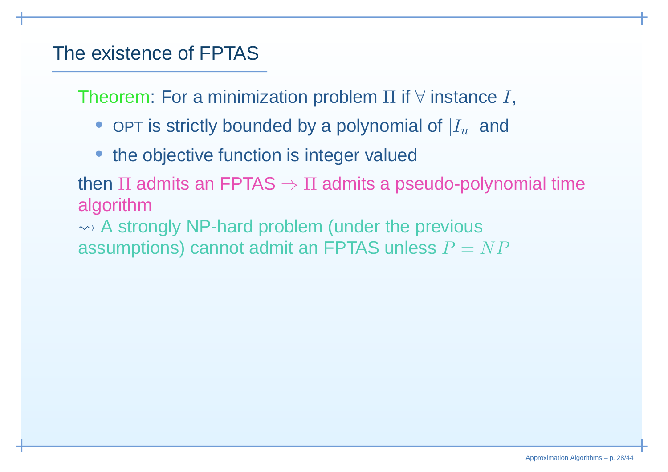# The existence of FPTAS

Theorem: For a minimization problem  $\Pi$  if  $\forall$  instance  $I,$ 

- $\bullet\,$  OPT is strictly bounded by a polynomial of  $|I_u|$  and
- the objective function is integer valued

then  $\Pi$  admits an FPTAS  $\Rightarrow \Pi$  admits a pseudo-polynomial time<br>algorithm algorithm

 $\rightsquigarrow$  A strongly NP-hard problem (under the previous assumptions) cannot admit an FPTAS unless  $P = NP$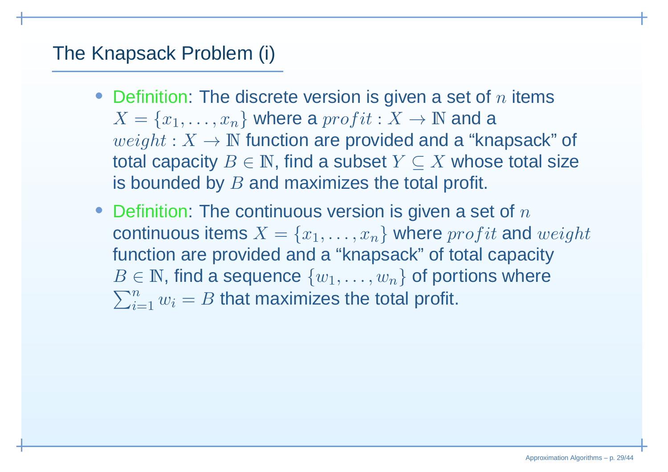# The Knapsack Problem (i)

- Definition: The discrete version is given a set of  $n$  items  $X=% \begin{bmatrix} 1\,, & 1\,, \end{bmatrix} \begin{bmatrix} 1\,, & 1\,, \end{bmatrix}$  $weight: X \rightarrow \mathbb{N}$  function are provided  $\{x_1, \ldots, x_n\}$  where a  $profit: X \rightarrow \mathbb{N}$  and a  $^{i_{t+1}, V}$  .  $\mathbb{N}$  function are provided and a "know  $weight: X \rightarrow \mathbb{N}$  function are provided and a "knapsack" of the conservative  $P \subset \mathbb{N}$  , find a subset  $V \subset X$  where total size  $\blacksquare$ total capacity  $B\in\mathbb{N}$ , find a subset  $Y\subseteq X$  whose total size<br>is bounded by  $B$  and maximizes the total prefit is bounded by  $B$  and maximizes the total profit.
- $\bullet\,$  Definition: The continuous version is given a set of  $n$ continuous items  $X=\{x_1,\ldots,x_n\}$  where  $profit$  an function are provided and <sup>a</sup> "knapsack" of total capacity $\{x_1, \ldots, x_n\}$  where  $profit$  and  $weight$  $\in$   $\mathbb{N},$  find a sequence  $\{w_1, \ldots, w_n\}$  of portions where  $\frac{B}{\sum}$  $n \sim n$  that requires the to  $\sum\limits_{i=1}^nw_i=B$  that maximizes the total profit.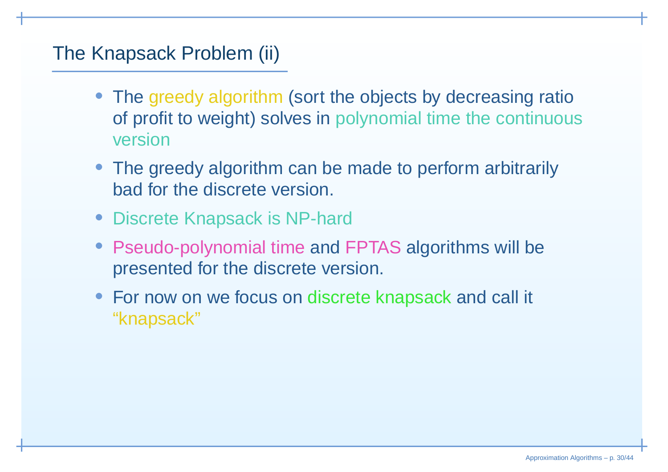# The Knapsack Problem (ii)

- The greedy algorithm (sort the objects by decreasing ratio of profit to woight) solves in polynomial time the continuour of profit to weight) solves in polynomial time the continuous version
- The greedy algorithm can be made to perform arbitrarilybad for the discrete version.
- Discrete Knapsack is NP-hard
- Pseudo-polynomial time and FPTAS algorithms will be presented for the discrete version.
- For now on we focus on discrete knapsack and call it "knapsack"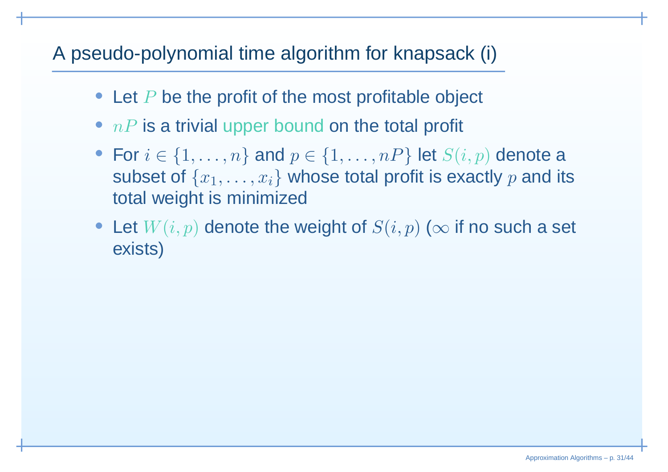# A pseudo-polynomial time algorithm for knapsack (i)

- Let  $P$  be the profit of the most profitable object
- $\bullet\;nP$  is a trivial upper bound on the total profit
- For  $i \in \{1, ..., n\}$  and  $p \in \{1, ..., nP\}$  let  $S(i, p)$  denote a subset of  $\{$ subset of  $\{x_1,\ldots,x_i\}$  whose total profit is exactly  $p$  and its total weight is minimized
- Let  $W(i, p)$  denote the weight of  $S(i, p)$  ( $\infty$  if no such a set exists) exists)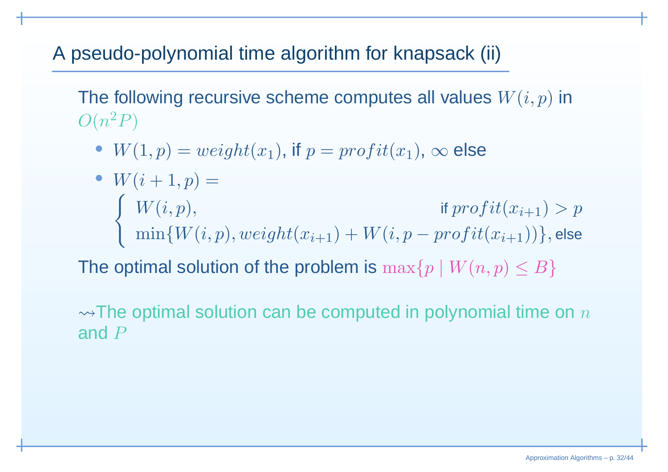# A pseudo-polynomial time algorithm for knapsack (ii)

The following recursive scheme computes all values  $W(i, p)$  in  $O(n$ 2 $^2P)$ 

•  $W(1, p) = weight(x_1)$ , if  $p = profit(x_1)$ ,  $\infty$  else

• 
$$
W(i+1, p) =
$$
  
\n
$$
\begin{cases}\nW(i, p), & \text{if } profit(x_{i+1}) > p \\
\min\{W(i, p), weight(x_{i+1}) + W(i, p - profit(x_{i+1}))\}, \text{else}\n\end{cases}
$$

The optimal solution of the problem is  $\max\{p \mid W(n,p) \leq B\}$ 

 $\rightsquigarrow$ The optimal solution can be computed in polynomial time on  $n$ and  $P$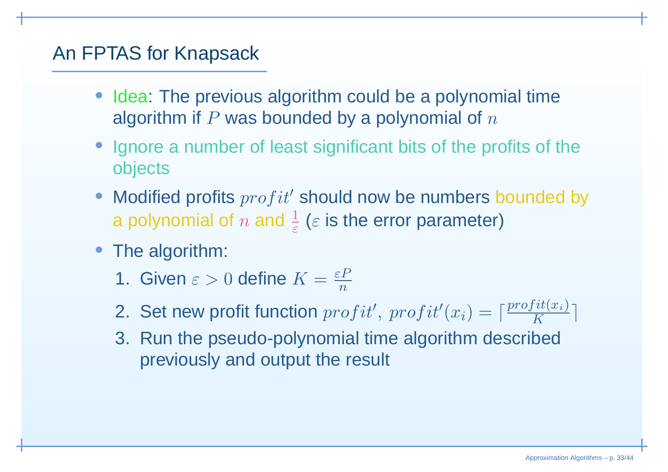# An FPTAS for Knapsack

- Idea: The previous algorithm could be <sup>a</sup> polynomial timealgorithm if  $P$  was bounded by a polynomial of  $n$
- Ignore <sup>a</sup> number of least significant bits of the profits of theobjects
- Modified profits  $profit'$  should now be numbers bounded by a polynomial of  $n$  and  $\frac{1}{\varepsilon}$  ( $\varepsilon$  is the error parameter)
- The algorithm:
	- 1. Given  $\varepsilon > 0$  define  $K = \frac{\varepsilon P}{n}$
	- 2. Set new profit function  $profit', profit'(x_i) = \lceil \frac{profit(x_i)}{K} \rceil$
	- 3. Run the pseudo-polynomial time algorithm describedpreviously and output the result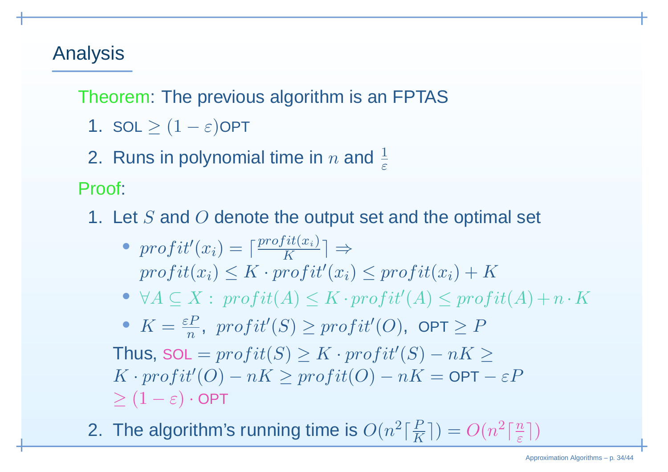# Analysis

Theorem: The previous algorithm is an FPTAS

- **1.** SOL  $\geq (1 \varepsilon)$ OPT
- 2. Runs in polynomial time in  $n$  and  $\frac{1}{\varepsilon}$

Proof:

- 1. Let  $S$  and  $O$  denote the output set and the optimal set
	- profit $'(\hat{x}_i) = \lceil \frac{profit(x_i)}{K} \rceil \Rightarrow$  $\textit{profit}(x_i) \leq K \cdot \textit{profit}'(x_i) \leq \textit{profit}(x_i) + K$
	- $\bullet~~\forall A\subseteq X:~profit(A)\leq K\cdot profit'(A)\leq profit(A)+n\cdot K$
	- $K = \frac{\varepsilon P}{n}$  $\, n \,$  $\frac{d^2P}{dr^2}$ ,  $\textit{profit}'(S) \geq \textit{profit}'(O)$ ,  $\textsf{OPT} \geq P$

Thus,  $\textsf{SOL} = \textit{profit}(S) \geq K \cdot \textit{profit}'(S) - nK \geq K$  $K \cdot profit'(O) - nK \ge profit(O) - nK = \mathsf{OPT} - \varepsilon P$  $\geq (1 - \varepsilon) \cdot \mathsf{OPT}$ 

2. The algorithm's running time is  $O(n^2\lceil \frac{P}{K} \rceil) = O(n^2\lceil \frac{n}{\varepsilon} \rceil)$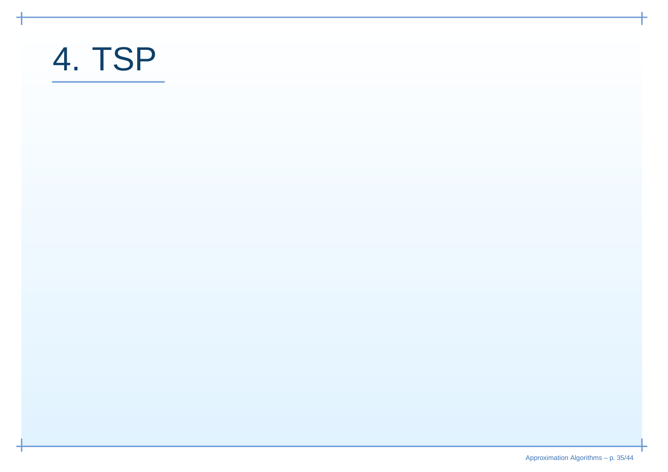# 4. TSP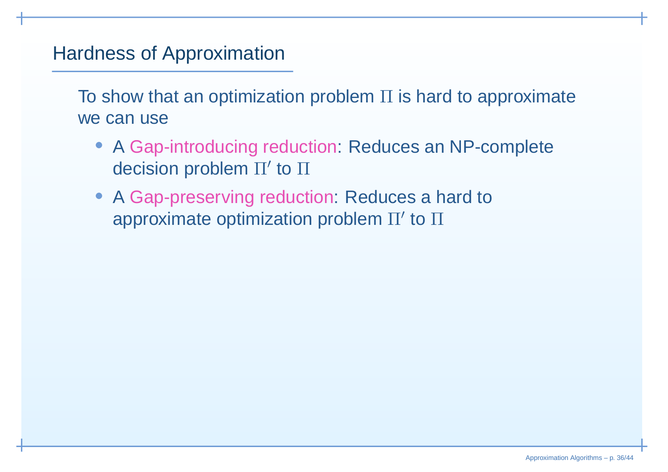# Hardness of Approximation

To show that an optimization problemΠ is hard to approximate we can use

- A Gap-introducing reduction: Reduces an NP-complete decision problem  $\Pi'$  to  $\Pi$
- A Gap-preserving reduction: Reduces a hard to approximate optimization problem  $\Pi'$  to  $\Pi$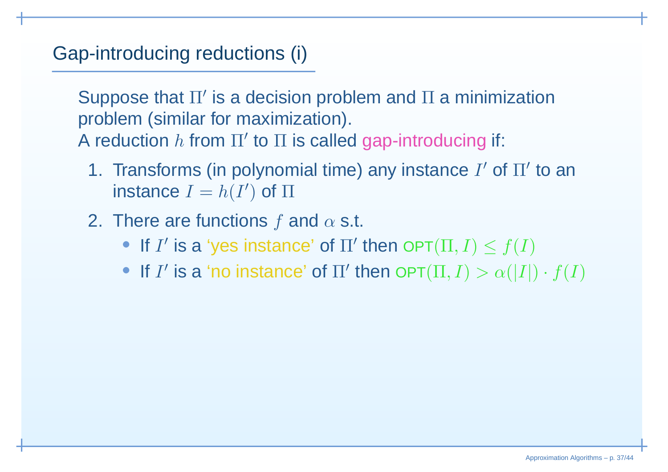# Gap-introducing reductions (i)

Suppose that Π' is a decision problem and Π a minimization<br>nreblam (similar for maximization) problem (similar for maximization). A reduction  $h$  from  $\Pi'$  to  $\Pi$  is called gap-introducing if:

- 1. Transforms (in polynomial time) any instance  $I'$  of  $\Pi'$  to an instance  $I=h(I^{\prime}% ,I_{I}^{\prime})$  $)$  of  $\Pi$
- 2. There are functions  $f$  and  $\alpha$  s.t.
	- If  $I'$  is a 'yes instance' of  $\Pi'$  then  $\mathsf{OPT}(\Pi,I)\le f(I)$
	- If  $I'$  is a 'no instance' of  $\Pi'$  then  $\mathsf{OPT}(\Pi,I) > \alpha(|I|) \cdot f(I)$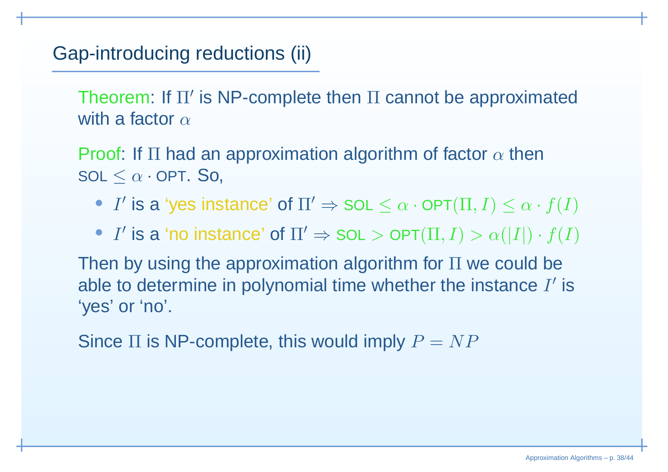# Gap-introducing reductions (ii)

Theorem: If Π' is NP-complete then Π cannot be approximated<br>with a factor with a factor  $\alpha$ 

Proof: If  $\Pi$  had an approximation algorithm of factor  $\alpha$  then<br>and  $\alpha$  $\mathsf{SOL} \leq \alpha \cdot \mathsf{OPT}$ . So,

- I' is a 'yes instance' of  $\Pi' \Rightarrow {\tt SOL} \leq \alpha \cdot {\tt OPT}(\Pi, I) \leq \alpha \cdot f(I)$
- $I'$  is a 'no instance' of  $\Pi' \Rightarrow {\tt SOL} > {\tt OPT}(\Pi, I) > \alpha(|I|) \cdot f(I)$

Then by using the approximation algorithm for Π we could be<br>able to determine in nelimential time whether the instance *I*/ able to determine in polynomial time whether the instance  $I'$  is 'yes' or 'no'.

Since  $\Pi$  is NP-complete, this would imply  $P=NP$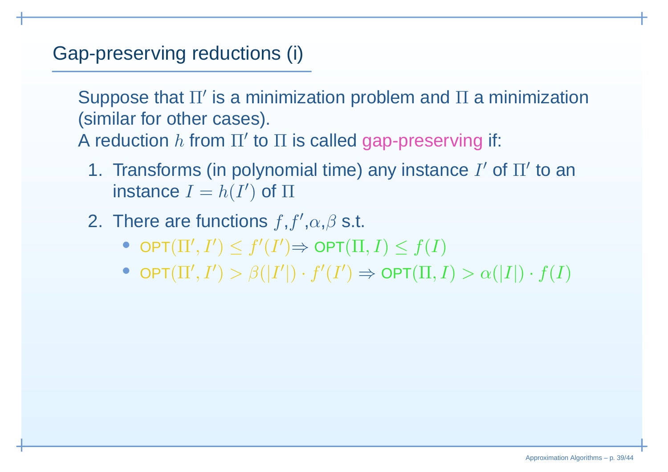# Gap-preserving reductions (i)

Suppose that Π' is a minimization problem and Π a minimization<br>(similar far ather sesse) (similar for other cases).

A reduction  $h$  from  $\Pi'$  to  $\Pi$  is called gap-preserving if:

- 1. Transforms (in polynomial time) any instance  $I'$  of  $\Pi'$  to an instance  $I=h(I^{\prime}% ,I_{I}^{\prime})$  $)$  of  $\Pi$
- 2. There are functions  $f,f',\alpha,\beta$  s.t.
	- $\bullet$  Opt $(\Pi',I'$  $)\leq f^{\prime}$  $(I^{\prime}% f)(\theta)=\left( \int_{\mathbb{R}}^{J_{1}}\mathcal{F}_{\theta}\left( \int_{\mathbb{R}}^{J_{2}}\mathcal{F}_{\theta}\left( \int_{\mathbb{R}}^{J_{1}}\mathcal{F}_{\theta}\left( \int_{\mathbb{R}}^{J_{2}}\mathcal{F}_{\theta}\left( \int_{\mathbb{R}}^{J_{1}}\mathcal{F}_{\theta}\left( \int_{\mathbb{R}}^{J_{2}}\mathcal{F}_{\theta}\left( \int_{\mathbb{R}}^{J_{1}}\mathcal{F}_{\theta}\left( \int_{\mathbb{R}}^{J_{2}}\mathcal{F}_{\theta}\left( \int_{\mathbb{$  $)\Rightarrow$  OPT $(\Pi, I) \leq f(I)$
	- $\bullet$  OPT $(\Pi',I')>\beta(|I'|)\cdot f'(I')\Rightarrow$  OI  $) > \beta(|I'|$  $|)\cdot f'$  $(I^{\prime}% f)(\theta)=\left( \int_{\mathbb{R}^{d}}% {\mathbb{R}^{d}}\right) ^{1-\eta}\left( \int_{\mathbb{R}^{d}}% {\mathbb{R}^{d}}\right) ^{1-\eta}\left( \int_{\mathbb{R}^{d}}% {\mathbb{R}^{d}}\right) ^{1-\eta}\left( \int_{\mathbb{R}^{d}}% {\mathbb{R}^{d}}\right) ^{1-\eta}\left( \int_{\mathbb{R}^{d}}% {\mathbb{R}^{d}}\right) ^{1-\eta}\left( \int_{\mathbb{R}^{d}}% {\mathbb{R}^{d}}\right) ^{1-\eta}\left( \int_{\mathbb{R}$  $) \Rightarrow$  OPT $(\Pi, I) > \alpha(|I|) \cdot f(I)$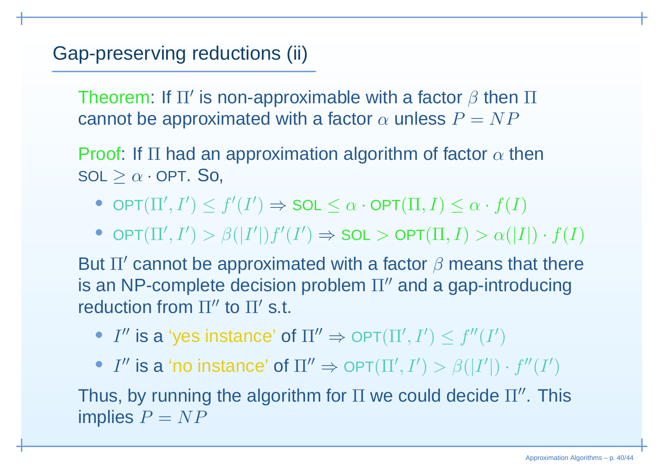# Gap-preserving reductions (ii)

Theorem: If  $\Pi'$  is non-approximable with a factor  $\beta$  then  $\Pi$ cannot be approximated with a factor  $\alpha$  unless  $P=NP$ 

Proof: If  $\Pi$  had an approximation algorithm of factor  $\alpha$  then<br>and  $\lambda$  $\mathsf{SOL}\geq\alpha\cdot\mathsf{OPT}.$  So,

- $\bullet$  Opt $(\Pi',I'$  $)\leq f^{\prime}$  $(I^{\prime}% f)(\theta)=\left( \int_{\mathbb{R}^{d}}% {\mathbb{R}^{d}}\right) ^{1-\eta}\left( \int_{\mathbb{R}^{d}}% {\mathbb{R}^{d}}\right) ^{1-\eta}\left( \int_{\mathbb{R}^{d}}% {\mathbb{R}^{d}}\right) ^{1-\eta}\left( \int_{\mathbb{R}^{d}}% {\mathbb{R}^{d}}\right) ^{1-\eta}\left( \int_{\mathbb{R}^{d}}% {\mathbb{R}^{d}}\right) ^{1-\eta}\left( \int_{\mathbb{R}^{d}}% {\mathbb{R}^{d}}\right) ^{1-\eta}\left( \int_{\mathbb{R}$  $\phi) \Rightarrow {\sf SOL} \leq \alpha \cdot {\sf OPT}(\Pi, I) \leq \alpha \cdot f(I)$
- $\bullet$  Opt $(\Pi',I'$  $) > \beta(|I'|$  $|)f^{\prime }$  $(I^{\prime}% f)(\theta)=\left( \frac{\partial f}{\partial t},\frac{\partial f}{\partial t},\frac{\partial f}{\partial t}\right)$  $) \Rightarrow {\sf SOL} > {\sf OPT}(\Pi, I) > \alpha(|I|) \cdot f(I)$

But  $\Pi'$  cannot be approximated with a factor  $\beta$  means that there is an NP-complete decision problem  $\Pi''$  and a gap-introducing reduction from  $\Pi''$  to  $\Pi'$  s.t.

•  $I''$  is a 'yes instance' of  $\Pi'' \Rightarrow$  OPT $(\Pi', I'')$  $)\leq f''(I'$ )

•  $I''$  is a 'no instance' of  $\Pi'' \Rightarrow$  OPT $(\Pi', I'')$  $) > \beta(|I'|$  $|)\cdot f''(I'$ )

Thus, by running the algorithm for  $\Pi$  we could decide  $\Pi''$ . This implies  $P= NP$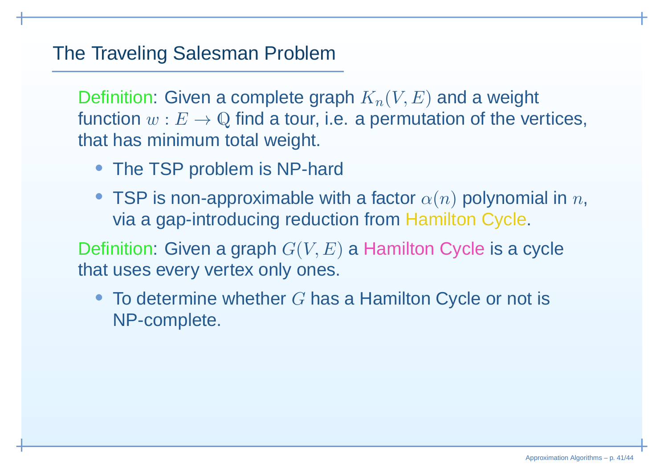#### The Traveling Salesman Problem

Definition: Given a complete graph  $K_n(V,E)$  and a weight function  $w : E \to \mathbb{Q}$  find a tour, i.e. a permutation of the vertices,<br>that has minimum tatal weight is minim that has minimum total weight.

- The TSP problem is NP-hard
- TSP is non-approximable with a factor  $\alpha(n)$  polynomial in  $n,$ via <sup>a</sup> gap-introducing reduction from Hamilton Cycle.

Definition: Given a graph  $G(V,E)$  a Hamilton Cycle is a cycle that uses every vertex only ones.

• To determine whether  $G$  has a Hamilton Cycle or not is  $\mathsf{NP}$  complete NP-complete.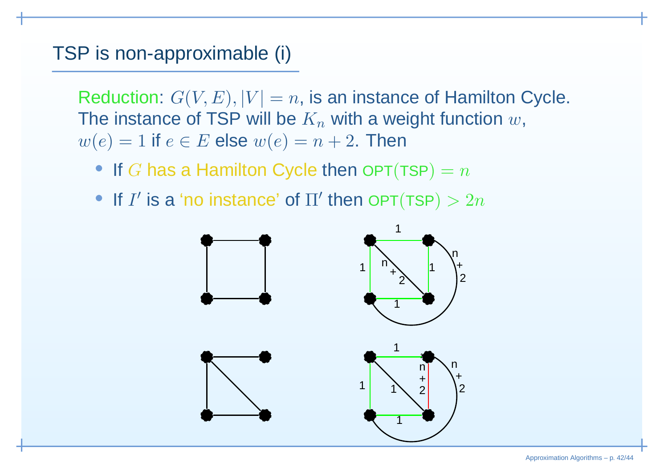#### TSP is non-approximable (i)

Reduction:  $G(V,E), |V| =n,$  is an instance of Hamilton Cycle. The instance of TSP will be  $K_n$  with a weight function  $w$ ,  $w(e) = 1$  if  $e \in E$  else  $w(e) = n + 2$ . Then

• If  $G$  has a Hamilton Cycle then OPT(TSP) =  $n$ 

• If  $I'$  is a 'no instance' of  $\Pi'$  then OPT(TSP)  $> 2n$ 

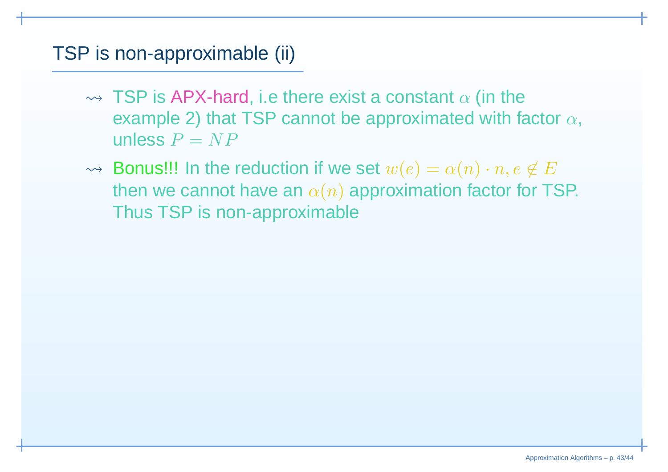#### TSP is non-approximable (ii)

- $\rightsquigarrow$  TSP is APX-hard, i.e there exist a constant  $\alpha$  (in the example 2) that TSP cannot be approximated with factor  $\alpha,$ unless  $P= NP$
- $\rightsquigarrow$  Bonus!!! In the reduction if we set  $w(e) = \alpha(n) \cdot n, e \not\in E$  $\sim$ then we cannot have an  $\alpha(n)$  approximation factor for TSP. Thus TSP is non-approximable